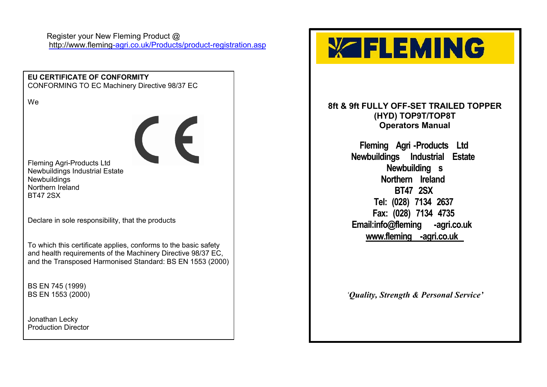Register your New Fleming Product @ <http://www.fleming-agri.co.uk/Products/product-registration.asp>

**EU CERTIFICATE OF CONFORMITY** CONFORMING TO EC Machinery Directive 98/37 EC We  $\epsilon$ Fleming Agri-Products Ltd Newbuildings Industrial Estate **Newbuildings** Northern Ireland BT47 2SX Declare in sole responsibility, that the products To which this certificate applies, conforms to the basic safety and health requirements of the Machinery Directive 98/37 EC, and the Transposed Harmonised Standard: BS EN 1553 (2000) BS EN 745 (1999) BS EN 1553 (2000) Jonathan Lecky Production Director

# **YZFLEMING**

**8ft & 9ft FULLY OFF-SET TRAILED TOPPER (HYD) TOP9T/TOP8T Operators Manual**

> **Fleming Agri -Products Ltd Newbuildings Industrial Estate Newbuilding s Northern Ireland BT47 2SX Tel: (028) 7134 2637 Fax: (028) 7134 4735 Email:info@fleming -agri.co.uk [www.fleming](www.fleming-agri.co.uk) -agri.co.uk**

*'Quality, Strength & Personal Service'*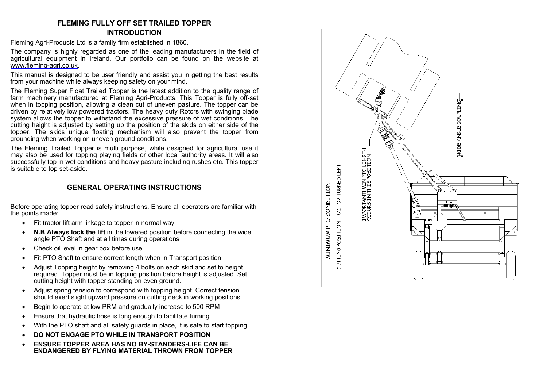### **FLEMING FULLY OFF SET TRAILED TOPPER INTRODUCTION**

Fleming Agri-Products Ltd is a family firm established in 1860.

The company is highly regarded as one of the leading manufacturers in the field of agricultural equipment in Ireland. Our portfolio can be found on the website at [www.fleming-agri.co.uk.](www.fleming-agri.co.uk)

This manual is designed to be user friendly and assist you in getting the best results from your machine while always keeping safety on your mind.

The Fleming Super Float Trailed Topper is the latest addition to the quality range of farm machinery manufactured at Fleming Agri-Products. This Topper is fully off-set when in topping position, allowing a clean cut of uneven pasture. The topper can be driven by relatively low powered tractors. The heavy duty Rotors with swinging blade system allows the topper to withstand the excessive pressure of wet conditions. The cutting height is adjusted by setting up the position of the skids on either side of the topper. The skids unique floating mechanism will also prevent the topper from grounding when working on uneven ground conditions.

The Fleming Trailed Topper is multi purpose, while designed for agricultural use it may also be used for topping playing fields or other local authority areas. It will also successfully top in wet conditions and heavy pasture including rushes etc. This topper is suitable to top set-aside.

## **GENERAL OPERATING INSTRUCTIONS**

Before operating topper read safety instructions. Ensure all operators are familiar with the points made:

- Fit tractor lift arm linkage to topper in normal way
- **N.B Always lock the lift** in the lowered position before connecting the wide angle PTO Shaft and at all times during operations
- Check oil level in gear box before use
- Fit PTO Shaft to ensure correct length when in Transport position
- Adjust Topping height by removing 4 bolts on each skid and set to height required. Topper must be in topping position before height is adjusted. Set cutting height with topper standing on even ground.
- Adjust spring tension to correspond with topping height. Correct tension should exert slight upward pressure on cutting deck in working positions.
- Begin to operate at low PRM and gradually increase to 500 RPM
- Ensure that hydraulic hose is long enough to facilitate turning
- With the PTO shaft and all safety guards in place, it is safe to start topping
- **DO NOT ENGAGE PTO WHILE IN TRANSPORT POSITION**
- **ENSURE TOPPER AREA HAS NO BY-STANDERS-LIFE CAN BE ENDANGERED BY FLYING MATERIAL THROWN FROM TOPPER**

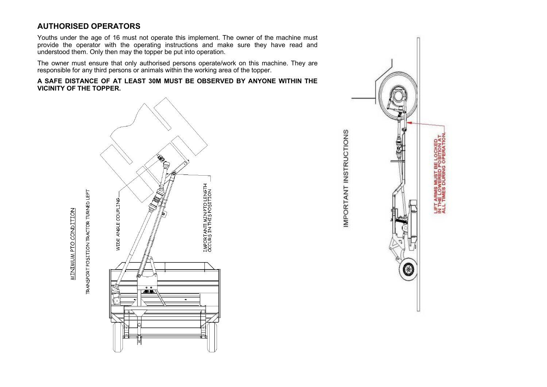# **AUTHORISED OPERATORS**

**MINIMUM PTO CONDITION** 

Youths under the age of 16 must not operate this implement. The owner of the machine must provide the operator with the operating instructions and make sure they have read and understood them. Only then may the topper be put into operation.

The owner must ensure that only authorised persons operate/work on this machine. They are responsible for any third persons or animals within the working area of the topper.

**A SAFE DISTANCE OF AT LEAST 30M MUST BE OBSERVED BY ANYONE WITHIN THE VICINITY OF THE TOPPER.**



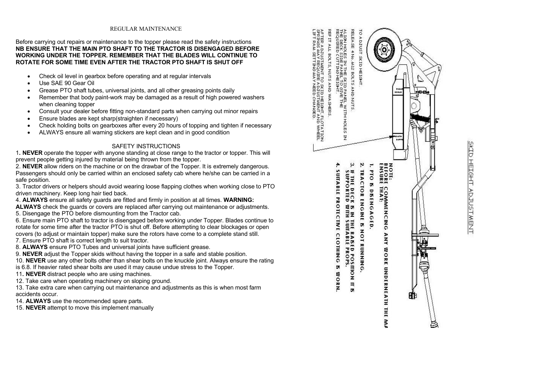#### REGULAR MAINTENANCE

#### Before carrying out repairs or maintenance to the topper please read the safety instructions **NB ENSURE THAT THE MAIN PTO SHAFT TO THE TRACTOR IS DISENGAGED BEFORE WORKING UNDER THE TOPPER. REMEMBER THAT THE BLADES WILL CONTINUE TO ROTATE FOR SOME TIME EVEN AFTER THE TRACTOR PTO SHAFT IS SHUT OFF**

- Check oil level in gearbox before operating and at regular intervals
- Use SAE 90 Gear Oil
- Grease PTO shaft tubes, universal joints, and all other greasing points daily
- Remember that body paint-work may be damaged as a result of high powered washers when cleaning topper
- Consult your dealer before fitting non-standard parts when carrying out minor repairs
- Ensure blades are kept sharp(straighten if necessary)
- Check holding bolts on gearboxes after every 20 hours of topping and tighten if necessary
- ALWAYS ensure all warning stickers are kept clean and in good condition

#### SAFETY INSTRUCTIONS

1**. NEVER** operate the topper with anyone standing at close range to the tractor or topper. This will prevent people getting injured by material being thrown from the topper.

2. **NEVER** allow riders on the machine or on the drawbar of the Topper. It is extremely dangerous. Passengers should only be carried within an enclosed safety cab where he/she can be carried in a safe position.

3. Tractor drivers or helpers should avoid wearing loose flapping clothes when working close to PTO driven machinery. Keep long hair tied back.

4. **ALWAYS** ensure all safety guards are fitted and firmly in position at all times. **WARNING:** 

**ALWAYS** check the guards or covers are replaced after carrying out maintenance or adjustments. 5. Disengage the PTO before dismounting from the Tractor cab.

6. Ensure main PTO shaft to tractor is disengaged before working under Topper. Blades continue to rotate for some time after the tractor PTO is shut off. Before attempting to clear blockages or open covers (to adjust or maintain topper) make sure the rotors have come to a complete stand still. 7. Ensure PTO shaft is correct length to suit tractor.

8. **ALWAYS** ensure PTO Tubes and universal joints have sufficient grease.

9. **NEVER** adjust the Topper skids without having the topper in a safe and stable position.

10. **NEVER** use any other bolts other than shear bolts on the knuckle joint. Always ensure the rating

is 6.8. If heavier rated shear bolts are used it may cause undue stress to the Topper.

11**. NEVER** distract people who are using machines.

12. Take care when operating machinery on sloping ground.

13. Take extra care when carrying out maintenance and adjustments as this is when most farm accidents occur.

14. **ALWAYS** use the recommended spare parts.

15. **NEVER** attempt to move this implement manually



SKID HEIGHT ADJUSTMENT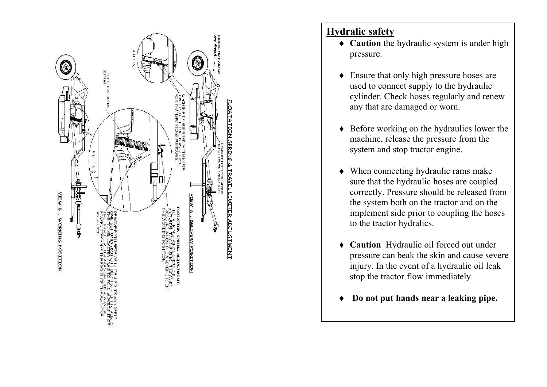

# **Hydralic safety**

- **Caution** the hydraulic system is under high pressure.
- Ensure that only high pressure hoses are used to connect supply to the hydraulic cylinder. Check hoses regularly and renew any that are damaged or worn.
- ◆ Before working on the hydraulics lower the machine, release the pressure from the system and stop tractor engine.
- When connecting hydraulic rams make sure that the hydraulic hoses are coupled correctly. Pressure should be released from the system both on the tractor and on the implement side prior to coupling the hoses to the tractor hydralics.
- **Caution** Hydraulic oil forced out under pressure can beak the skin and cause severe injury. In the event of a hydraulic oil leak stop the tractor flow immediately.
- **Do not put hands near a leaking pipe.**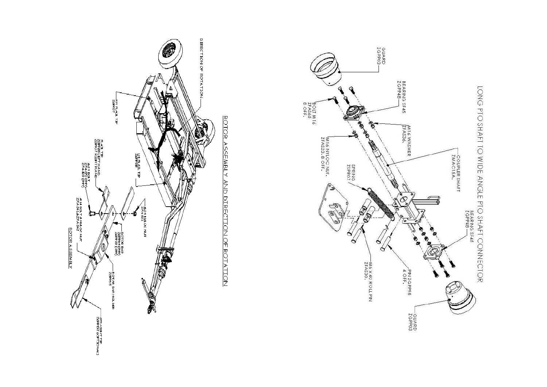



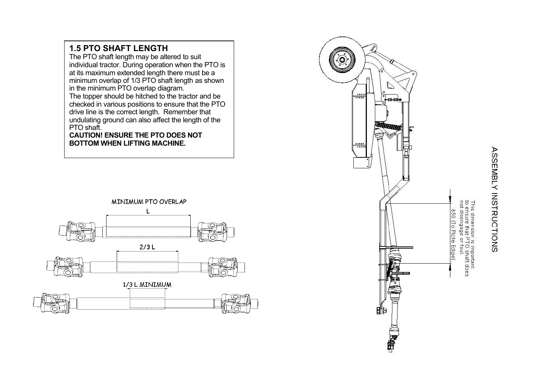

**1.5 PTO SHAFT LENGTH** 

The PTO shaft length may be altered to suit



# **ASSEMBLY INSTRUCTIONS**